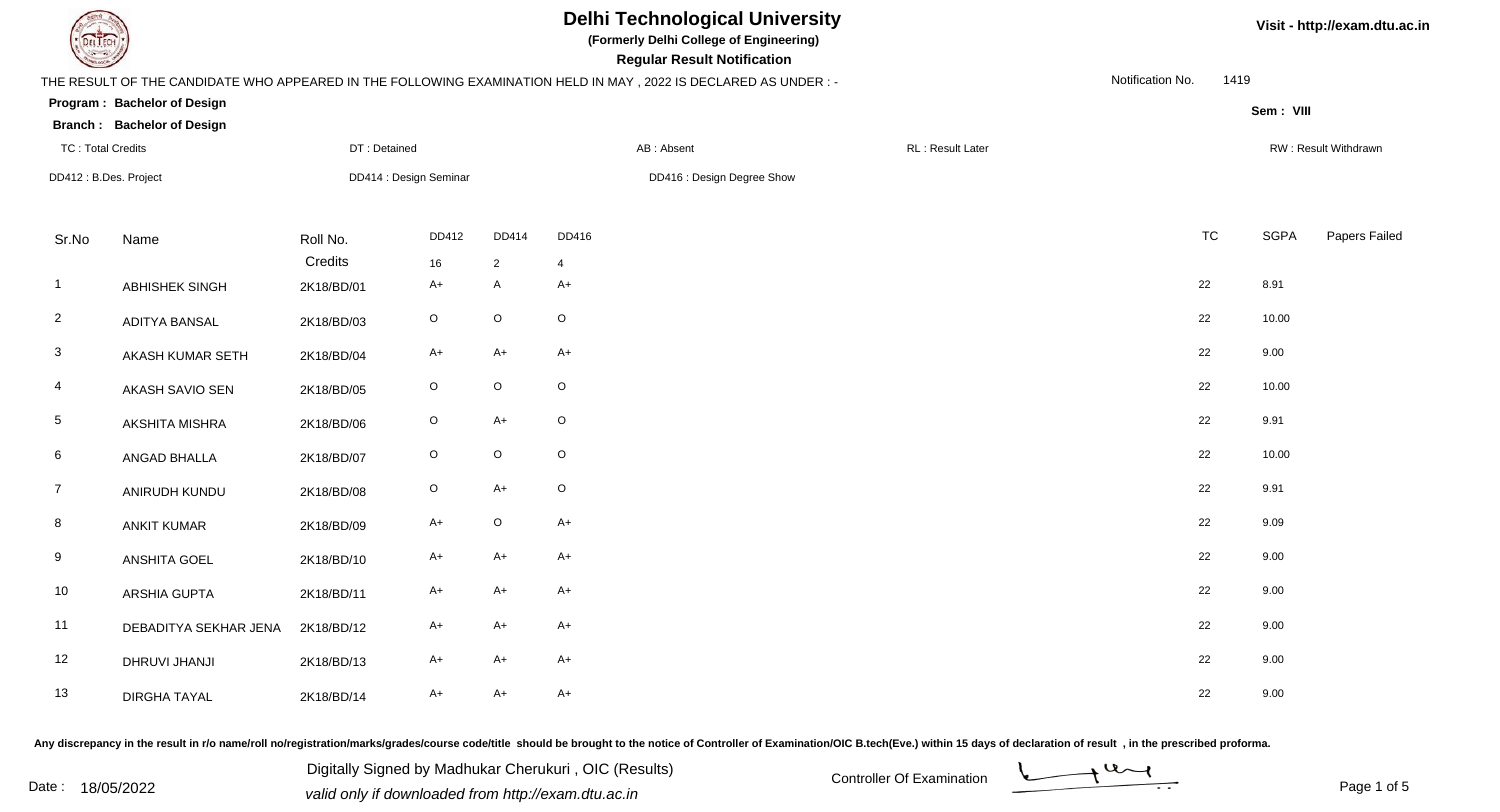| EL ECH                   |                                   |                        |             |                            |                | <b>Delhi Technological University</b><br>(Formerly Delhi College of Engineering)<br><b>Regular Result Notification</b> |  |                   |                  |           | Visit - http://exam.dtu.ac.in |                      |  |
|--------------------------|-----------------------------------|------------------------|-------------|----------------------------|----------------|------------------------------------------------------------------------------------------------------------------------|--|-------------------|------------------|-----------|-------------------------------|----------------------|--|
|                          |                                   |                        |             |                            |                | THE RESULT OF THE CANDIDATE WHO APPEARED IN THE FOLLOWING EXAMINATION HELD IN MAY, 2022 IS DECLARED AS UNDER:-         |  |                   | Notification No. | 1419      |                               |                      |  |
|                          | Program: Bachelor of Design       |                        |             |                            |                |                                                                                                                        |  |                   |                  |           | Sem: VIII                     |                      |  |
|                          | <b>Branch: Bachelor of Design</b> |                        |             |                            |                |                                                                                                                        |  |                   |                  |           |                               |                      |  |
| <b>TC: Total Credits</b> |                                   | DT: Detained           |             |                            |                | AB: Absent                                                                                                             |  | RL : Result Later |                  |           |                               | RW: Result Withdrawn |  |
| DD412: B.Des. Project    |                                   | DD414 : Design Seminar |             | DD416 : Design Degree Show |                |                                                                                                                        |  |                   |                  |           |                               |                      |  |
| Sr.No                    | Name                              | Roll No.               | DD412       | DD414                      | DD416          |                                                                                                                        |  |                   |                  | <b>TC</b> | <b>SGPA</b>                   | Papers Failed        |  |
|                          |                                   | Credits                | 16          | $\overline{2}$             | $\overline{4}$ |                                                                                                                        |  |                   |                  |           |                               |                      |  |
| $\overline{1}$           | ABHISHEK SINGH                    | 2K18/BD/01             | $A+$        | $\mathsf{A}$               | $A+$           |                                                                                                                        |  |                   |                  | 22        | 8.91                          |                      |  |
| $\overline{2}$           | <b>ADITYA BANSAL</b>              | 2K18/BD/03             | $\mathsf O$ | $\mathsf O$                | $\circ$        |                                                                                                                        |  |                   |                  | 22        | 10.00                         |                      |  |
| $\mathbf{3}$             | AKASH KUMAR SETH                  | 2K18/BD/04             | $A+$        | $A+$                       | $A+$           |                                                                                                                        |  |                   |                  | 22        | 9.00                          |                      |  |
| $\overline{4}$           | AKASH SAVIO SEN                   | 2K18/BD/05             | $\circ$     | $\mathsf O$                | $\circ$        |                                                                                                                        |  |                   |                  | 22        | 10.00                         |                      |  |
| $\sqrt{5}$               | <b>AKSHITA MISHRA</b>             | 2K18/BD/06             | $\circ$     | $A+$                       | $\circ$        |                                                                                                                        |  |                   |                  | 22        | 9.91                          |                      |  |
| $6\phantom{.}6$          | ANGAD BHALLA                      | 2K18/BD/07             | $\mathsf O$ | $\mathsf O$                | $\circ$        |                                                                                                                        |  |                   |                  | 22        | 10.00                         |                      |  |
| $\overline{7}$           | ANIRUDH KUNDU                     | 2K18/BD/08             | $\mathsf O$ | $A+$                       | $\circ$        |                                                                                                                        |  |                   |                  | 22        | 9.91                          |                      |  |
| 8                        | <b>ANKIT KUMAR</b>                | 2K18/BD/09             | $A+$        | $\mathsf O$                | $A+$           |                                                                                                                        |  |                   |                  | 22        | 9.09                          |                      |  |
| 9                        | <b>ANSHITA GOEL</b>               | 2K18/BD/10             | $A+$        | $A+$                       | $A+$           |                                                                                                                        |  |                   |                  | 22        | 9.00                          |                      |  |
| 10                       | ARSHIA GUPTA                      | 2K18/BD/11             | $A+$        | $A+$                       | $A+$           |                                                                                                                        |  |                   |                  | 22        | 9.00                          |                      |  |
| 11                       | DEBADITYA SEKHAR JENA             | 2K18/BD/12             | $A+$        | $A+$                       | $A+$           |                                                                                                                        |  |                   |                  | 22        | 9.00                          |                      |  |
| 12                       | DHRUVI JHANJI                     | 2K18/BD/13             | $A+$        | $A+$                       | $A+$           |                                                                                                                        |  |                   |                  | 22        | 9.00                          |                      |  |
| 13                       | <b>DIRGHA TAYAL</b>               | 2K18/BD/14             | A+          | $A+$                       | $A+$           |                                                                                                                        |  |                   |                  | 22        | 9.00                          |                      |  |

Any discrepancy in the result in r/o name/roll no/registration/marks/grades/course code/title should be brought to the notice of Controller of Examination/OIC B.tech(Eve.) within 15 days of declaration of result, in the pr

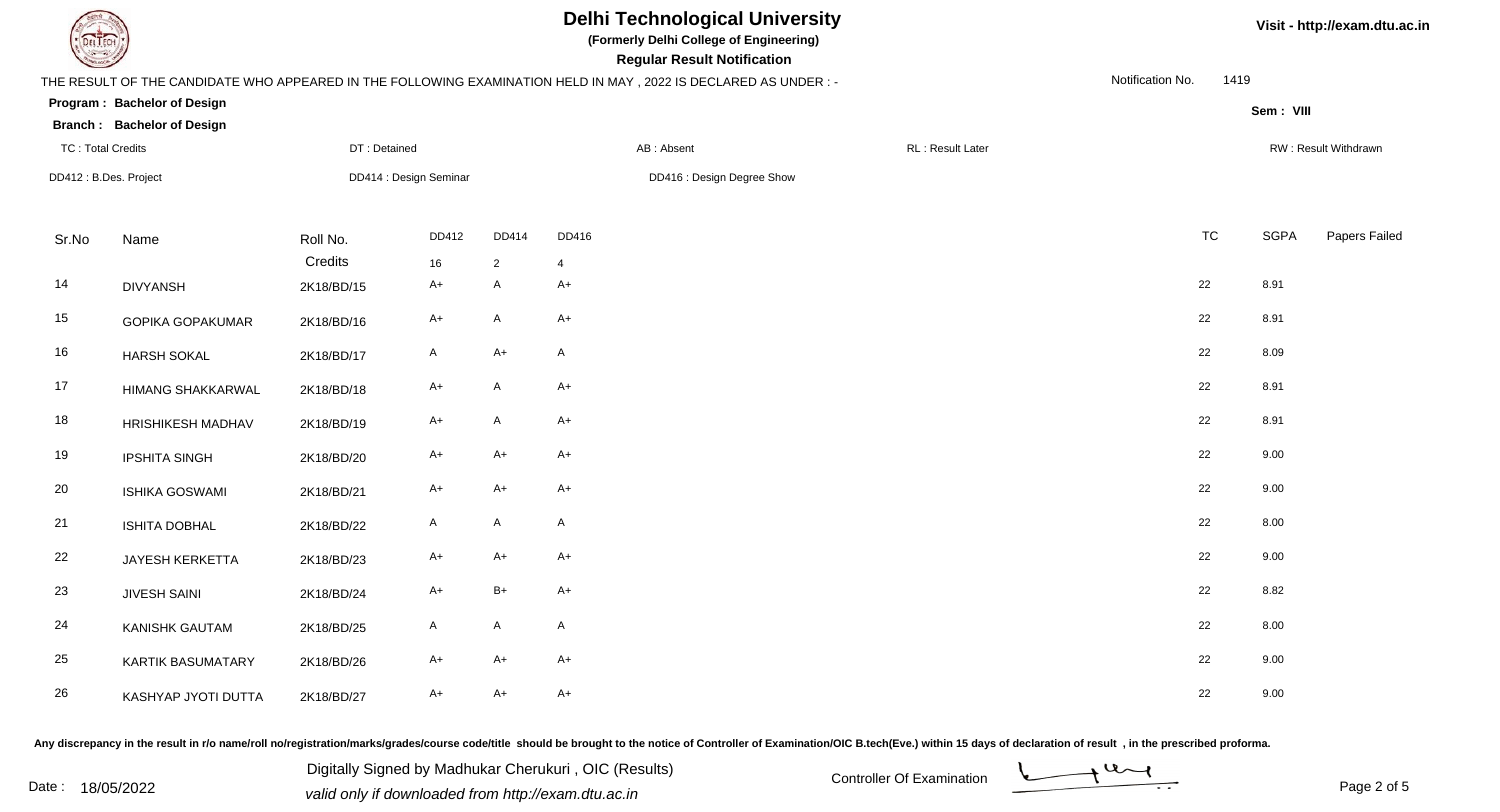| EL ECH                   |                                   |                        |              |                            |              | <b>Delhi Technological University</b><br>(Formerly Delhi College of Engineering)<br><b>Regular Result Notification</b> |                  |                  |      |             | Visit - http://exam.dtu.ac.in |
|--------------------------|-----------------------------------|------------------------|--------------|----------------------------|--------------|------------------------------------------------------------------------------------------------------------------------|------------------|------------------|------|-------------|-------------------------------|
|                          |                                   |                        |              |                            |              | THE RESULT OF THE CANDIDATE WHO APPEARED IN THE FOLLOWING EXAMINATION HELD IN MAY, 2022 IS DECLARED AS UNDER:-         |                  | Notification No. | 1419 |             |                               |
|                          | Program: Bachelor of Design       |                        |              |                            |              |                                                                                                                        |                  |                  |      | Sem: VIII   |                               |
|                          | <b>Branch: Bachelor of Design</b> |                        |              |                            |              |                                                                                                                        |                  |                  |      |             |                               |
| <b>TC: Total Credits</b> |                                   | DT: Detained           |              |                            |              | AB: Absent                                                                                                             | RL: Result Later |                  |      |             | RW: Result Withdrawn          |
| DD412: B.Des. Project    |                                   | DD414 : Design Seminar |              | DD416 : Design Degree Show |              |                                                                                                                        |                  |                  |      |             |                               |
| Sr.No                    | Name                              | Roll No.               | DD412        | DD414                      | DD416        |                                                                                                                        |                  | <b>TC</b>        |      | <b>SGPA</b> | Papers Failed                 |
|                          |                                   | Credits                | 16           | $\overline{2}$             |              |                                                                                                                        |                  |                  |      |             |                               |
| 14                       | <b>DIVYANSH</b>                   | 2K18/BD/15             | A+           | $\mathsf{A}$               | $A+$         |                                                                                                                        |                  | 22               |      | 8.91        |                               |
| 15                       | <b>GOPIKA GOPAKUMAR</b>           | 2K18/BD/16             | A+           | $\mathsf{A}$               | $A+$         |                                                                                                                        |                  | 22               |      | 8.91        |                               |
| 16                       | <b>HARSH SOKAL</b>                | 2K18/BD/17             | $\mathsf{A}$ | $A+$                       | $\mathsf{A}$ |                                                                                                                        |                  | 22               |      | 8.09        |                               |
| 17                       | HIMANG SHAKKARWAL                 | 2K18/BD/18             | $A+$         | $\mathsf{A}$               | $A+$         |                                                                                                                        |                  | 22               |      | 8.91        |                               |
| 18                       | HRISHIKESH MADHAV                 | 2K18/BD/19             | $A+$         | $\mathsf{A}$               | $A+$         |                                                                                                                        |                  | 22               |      | 8.91        |                               |
| 19                       | <b>IPSHITA SINGH</b>              | 2K18/BD/20             | $A+$         | $A+$                       | $A+$         |                                                                                                                        |                  | 22               |      | 9.00        |                               |
| 20                       | <b>ISHIKA GOSWAMI</b>             | 2K18/BD/21             | $A+$         | $A+$                       | $A+$         |                                                                                                                        |                  | 22               |      | 9.00        |                               |
| 21                       | <b>ISHITA DOBHAL</b>              | 2K18/BD/22             | A            | $\mathsf{A}$               | $\mathsf{A}$ |                                                                                                                        |                  | 22               |      | 8.00        |                               |
| 22                       | JAYESH KERKETTA                   | 2K18/BD/23             | A+           | $A+$                       | $A+$         |                                                                                                                        |                  | 22               |      | 9.00        |                               |
| 23                       | <b>JIVESH SAINI</b>               | 2K18/BD/24             | $A+$         | $B+$                       | $A+$         |                                                                                                                        |                  | 22               |      | 8.82        |                               |
| 24                       | <b>KANISHK GAUTAM</b>             | 2K18/BD/25             | A            | $\mathsf{A}$               | $\mathsf{A}$ |                                                                                                                        |                  | 22               |      | 8.00        |                               |
| 25                       | <b>KARTIK BASUMATARY</b>          | 2K18/BD/26             | A+           | $A+$                       | $A+$         |                                                                                                                        |                  | 22               |      | 9.00        |                               |
| 26                       | KASHYAP JYOTI DUTTA               | 2K18/BD/27             | A+           | $A+$                       | $A+$         |                                                                                                                        |                  | 22               |      | 9.00        |                               |

## Any discrepancy in the result in r/o name/roll no/registration/marks/grades/course code/title should be brought to the notice of Controller of Examination/OIC B.tech(Eve.) within 15 days of declaration of result, in the pr

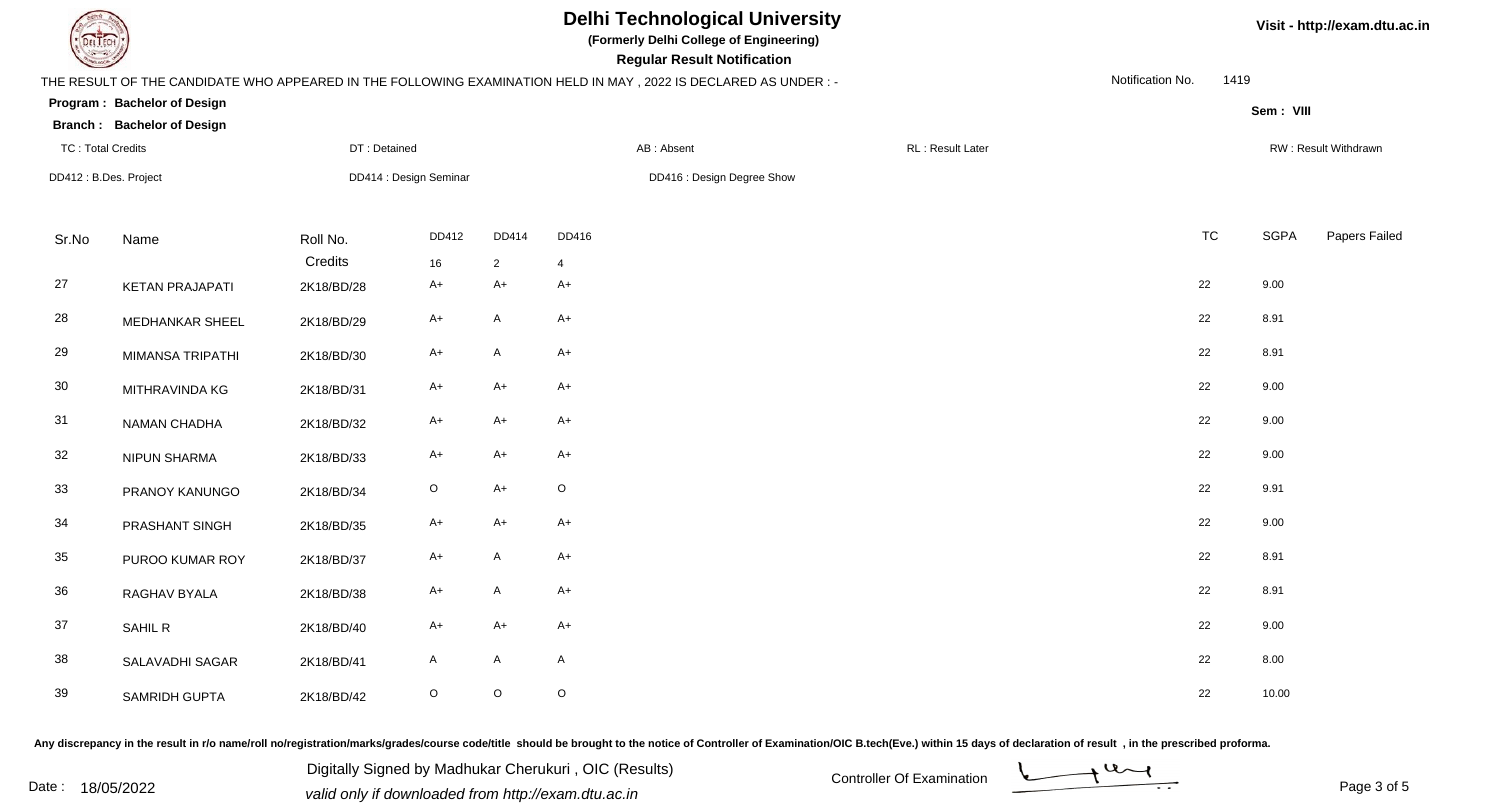| <b>Delhi Technological University</b><br>(Formerly Delhi College of Engineering)<br><b>Regular Result Notification</b> |                                   |              |                        |                |                  |                                                                                                                 |                  |                  | Visit - http://exam.dtu.ac.in |             |                      |  |
|------------------------------------------------------------------------------------------------------------------------|-----------------------------------|--------------|------------------------|----------------|------------------|-----------------------------------------------------------------------------------------------------------------|------------------|------------------|-------------------------------|-------------|----------------------|--|
|                                                                                                                        |                                   |              |                        |                |                  | THE RESULT OF THE CANDIDATE WHO APPEARED IN THE FOLLOWING EXAMINATION HELD IN MAY, 2022 IS DECLARED AS UNDER :- |                  | Notification No. | 1419                          |             |                      |  |
|                                                                                                                        | Program: Bachelor of Design       |              |                        |                |                  |                                                                                                                 |                  |                  |                               | Sem: VIII   |                      |  |
|                                                                                                                        | <b>Branch: Bachelor of Design</b> |              |                        |                |                  |                                                                                                                 |                  |                  |                               |             |                      |  |
| <b>TC: Total Credits</b>                                                                                               |                                   | DT: Detained |                        |                |                  | AB: Absent                                                                                                      | RL: Result Later |                  |                               |             | RW: Result Withdrawn |  |
|                                                                                                                        | DD412: B.Des. Project             |              | DD414 : Design Seminar |                |                  | DD416 : Design Degree Show                                                                                      |                  |                  |                               |             |                      |  |
| Sr.No                                                                                                                  | Name                              | Roll No.     | DD412                  | DD414          | DD416            |                                                                                                                 |                  | <b>TC</b>        |                               | <b>SGPA</b> | Papers Failed        |  |
|                                                                                                                        |                                   | Credits      | 16                     | $\overline{2}$ | $\boldsymbol{4}$ |                                                                                                                 |                  |                  |                               |             |                      |  |
| 27                                                                                                                     | <b>KETAN PRAJAPATI</b>            | 2K18/BD/28   | A+                     | $A+$           | $A+$             |                                                                                                                 |                  | 22               | 9.00                          |             |                      |  |
| 28                                                                                                                     | <b>MEDHANKAR SHEEL</b>            | 2K18/BD/29   | $A+$                   | $\mathsf{A}$   | $A+$             |                                                                                                                 |                  | 22               | 8.91                          |             |                      |  |
| 29                                                                                                                     | MIMANSA TRIPATHI                  | 2K18/BD/30   | A+                     | $\mathsf{A}$   | $A+$             |                                                                                                                 |                  | 22               | 8.91                          |             |                      |  |
| $30\,$                                                                                                                 | MITHRAVINDA KG                    | 2K18/BD/31   | $A+$                   | $A+$           | $A+$             |                                                                                                                 |                  | 22               | 9.00                          |             |                      |  |
| 31                                                                                                                     | NAMAN CHADHA                      | 2K18/BD/32   | A+                     | $A+$           | $A+$             |                                                                                                                 |                  | 22               | 9.00                          |             |                      |  |
| 32                                                                                                                     | NIPUN SHARMA                      | 2K18/BD/33   | $A+$                   | $A+$           | $A+$             |                                                                                                                 |                  | 22               | 9.00                          |             |                      |  |
| 33                                                                                                                     | PRANOY KANUNGO                    | 2K18/BD/34   | $\mathsf O$            | $A+$           | $\mathsf O$      |                                                                                                                 |                  | 22               | 9.91                          |             |                      |  |
| 34                                                                                                                     | PRASHANT SINGH                    | 2K18/BD/35   | $A+$                   | $A+$           | $A+$             |                                                                                                                 |                  | 22               | 9.00                          |             |                      |  |
| 35                                                                                                                     | PUROO KUMAR ROY                   | 2K18/BD/37   | $A+$                   | $\mathsf{A}$   | $A+$             |                                                                                                                 |                  | 22               | 8.91                          |             |                      |  |
| 36                                                                                                                     | RAGHAV BYALA                      | 2K18/BD/38   | A+                     | $\mathsf{A}$   | $A+$             |                                                                                                                 |                  | 22               | 8.91                          |             |                      |  |
| 37                                                                                                                     | SAHIL R                           | 2K18/BD/40   | $A+$                   | $A+$           | $A+$             |                                                                                                                 |                  | 22               | 9.00                          |             |                      |  |
| 38                                                                                                                     | SALAVADHI SAGAR                   | 2K18/BD/41   | A                      | $\mathsf{A}$   | $\mathsf{A}$     |                                                                                                                 |                  | 22               |                               | 8.00        |                      |  |
| 39                                                                                                                     | SAMRIDH GUPTA                     | 2K18/BD/42   | O                      | $\mathsf O$    | $\mathsf O$      |                                                                                                                 |                  | 22               |                               | 10.00       |                      |  |

Any discrepancy in the result in r/o name/roll no/registration/marks/grades/course code/title should be brought to the notice of Controller of Examination/OIC B.tech(Eve.) within 15 days of declaration of result ,in the p

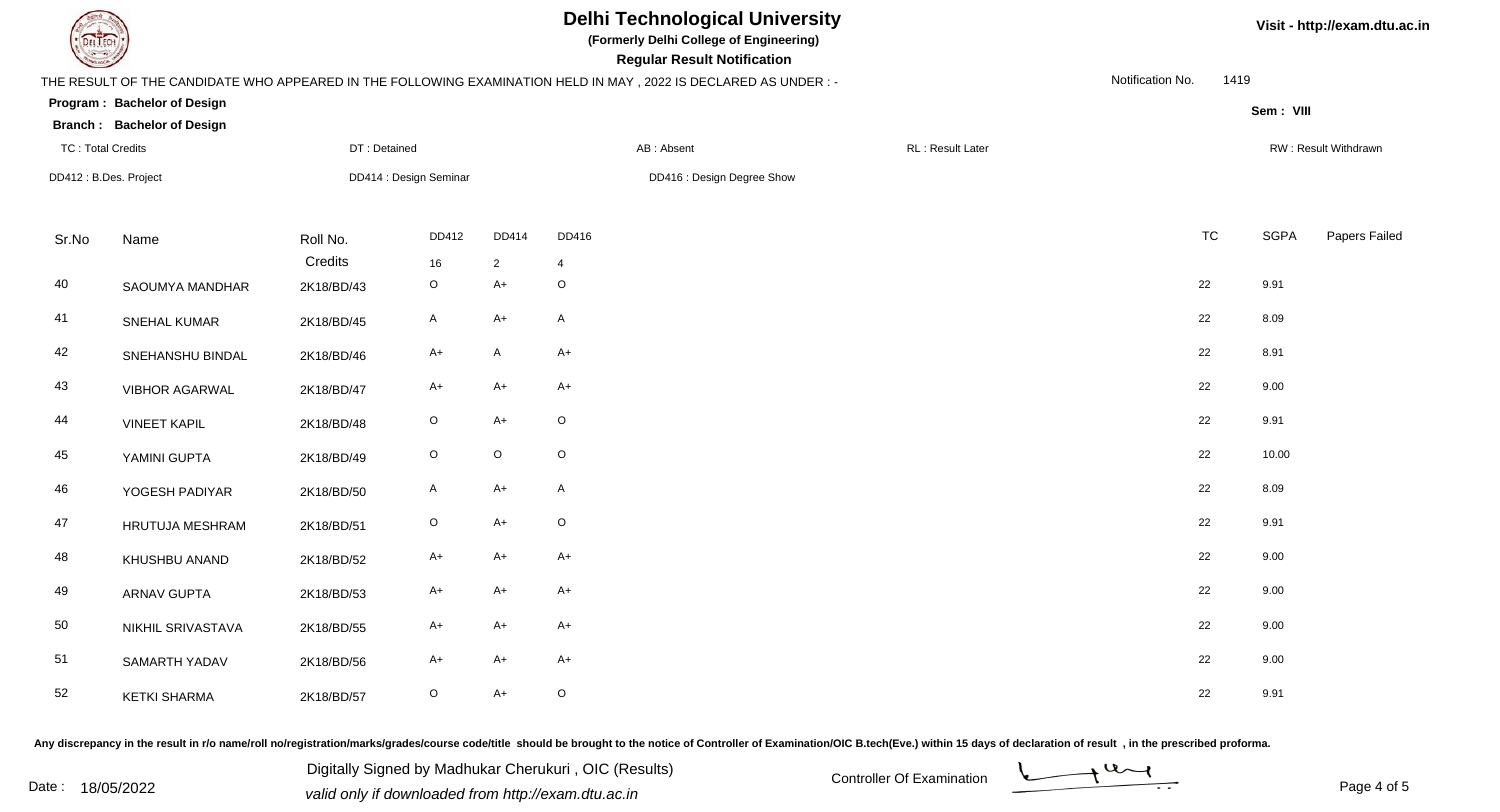| EL ECH                   |                                   |                        |              |                            |              | <b>Delhi Technological University</b><br>(Formerly Delhi College of Engineering)<br><b>Regular Result Notification</b> |                  |                  |      |             | Visit - http://exam.dtu.ac.in |
|--------------------------|-----------------------------------|------------------------|--------------|----------------------------|--------------|------------------------------------------------------------------------------------------------------------------------|------------------|------------------|------|-------------|-------------------------------|
|                          |                                   |                        |              |                            |              | THE RESULT OF THE CANDIDATE WHO APPEARED IN THE FOLLOWING EXAMINATION HELD IN MAY, 2022 IS DECLARED AS UNDER:-         |                  | Notification No. | 1419 |             |                               |
|                          | Program: Bachelor of Design       |                        |              |                            |              |                                                                                                                        |                  |                  |      | Sem: VIII   |                               |
|                          | <b>Branch: Bachelor of Design</b> |                        |              |                            |              |                                                                                                                        |                  |                  |      |             |                               |
| <b>TC: Total Credits</b> |                                   | DT: Detained           |              |                            |              | AB: Absent                                                                                                             | RL: Result Later |                  |      |             | RW: Result Withdrawn          |
| DD412: B.Des. Project    |                                   | DD414 : Design Seminar |              | DD416 : Design Degree Show |              |                                                                                                                        |                  |                  |      |             |                               |
| Sr.No                    | Name                              | Roll No.               | DD412        | DD414                      | DD416        |                                                                                                                        |                  | <b>TC</b>        |      | <b>SGPA</b> | Papers Failed                 |
|                          |                                   | Credits                | 16           | $\overline{2}$             |              |                                                                                                                        |                  |                  |      |             |                               |
| 40                       | SAOUMYA MANDHAR                   | 2K18/BD/43             | $\mathsf O$  | $A+$                       | $\circ$      |                                                                                                                        |                  | 22               |      | 9.91        |                               |
| 41                       | SNEHAL KUMAR                      | 2K18/BD/45             | A            | $A+$                       | $\mathsf{A}$ |                                                                                                                        |                  | 22               |      | 8.09        |                               |
| 42                       | SNEHANSHU BINDAL                  | 2K18/BD/46             | $A+$         | $\mathsf{A}$               | $A+$         |                                                                                                                        |                  | 22               |      | 8.91        |                               |
| 43                       | <b>VIBHOR AGARWAL</b>             | 2K18/BD/47             | A+           | $A+$                       | $A+$         |                                                                                                                        |                  | 22               |      | 9.00        |                               |
| 44                       | <b>VINEET KAPIL</b>               | 2K18/BD/48             | $\mathsf O$  | $A+$                       | $\mathsf O$  |                                                                                                                        |                  | 22               |      | 9.91        |                               |
| 45                       | YAMINI GUPTA                      | 2K18/BD/49             | $\mathsf O$  | $\mathsf O$                | $\mathsf O$  |                                                                                                                        |                  | 22               |      | 10.00       |                               |
| 46                       | YOGESH PADIYAR                    | 2K18/BD/50             | A            | $A+$                       | $\mathsf{A}$ |                                                                                                                        |                  | 22               |      | 8.09        |                               |
| 47                       | HRUTUJA MESHRAM                   | 2K18/BD/51             | $\mathsf{O}$ | $A+$                       | $\mathsf O$  |                                                                                                                        |                  | 22               |      | 9.91        |                               |
| 48                       | KHUSHBU ANAND                     | 2K18/BD/52             | A+           | $A+$                       | $A+$         |                                                                                                                        |                  | 22               |      | 9.00        |                               |
| 49                       | <b>ARNAV GUPTA</b>                | 2K18/BD/53             | $A+$         | $A+$                       | $A+$         |                                                                                                                        |                  | 22               |      | 9.00        |                               |
| 50                       | NIKHIL SRIVASTAVA                 | 2K18/BD/55             | $A+$         | $A+$                       | $A+$         |                                                                                                                        |                  | 22               |      | 9.00        |                               |
| 51                       | SAMARTH YADAV                     | 2K18/BD/56             | A+           | $A+$                       | $A+$         |                                                                                                                        |                  | 22               |      | 9.00        |                               |
| 52                       | <b>KETKI SHARMA</b>               | 2K18/BD/57             | $\circ$      | $A+$                       | $\mathsf O$  |                                                                                                                        |                  | 22               |      | 9.91        |                               |

Any discrepancy in the result in r/o name/roll no/registration/marks/grades/course code/title should be brought to the notice of Controller of Examination/OIC B.tech(Eve.) within 15 days of declaration of result, in the pr